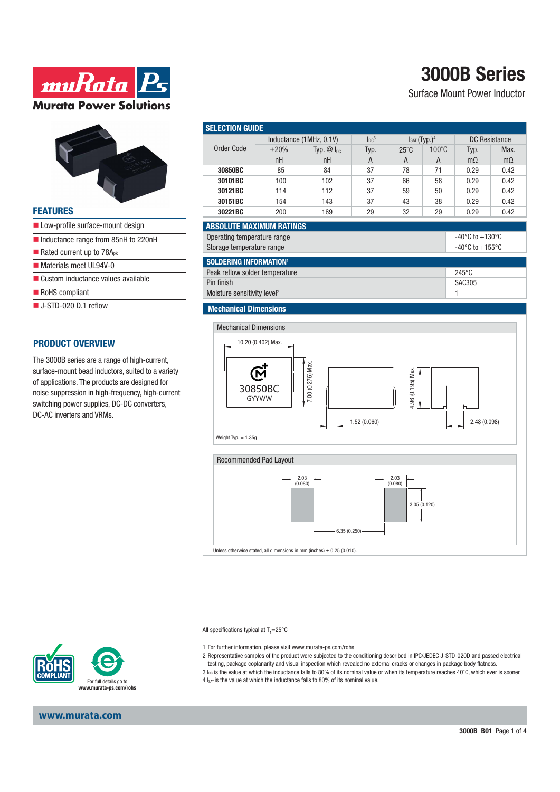# **3000B Series**

### Surface Mount Power Inductor



**ww.Rata** P

**Murata Power Solutions** 

### **FEATURES**

- Low-profile surface-mount design
- Inductance range from 85nH to 220nH
- Rated current up to  $78A<sub>pk</sub>$
- Materials meet UL94V-0
- Custom inductance values available
- RoHS compliant
- J-STD-020 D.1 reflow

### **PRODUCT OVERVIEW**

The 3000B series are a range of high-current, surface-mount bead inductors, suited to a variety of applications. The products are designed for noise suppression in high-frequency, high-current switching power supplies, DC-DC converters, DC-AC inverters and VRMs.

| <b>SELECTION GUIDE</b>                                               |                         |                |                |                          |                 |                                       |           |  |
|----------------------------------------------------------------------|-------------------------|----------------|----------------|--------------------------|-----------------|---------------------------------------|-----------|--|
| <b>Order Code</b>                                                    | Inductance (1MHz, 0.1V) |                | $\ln c^3$      | Isat (Typ.) <sup>4</sup> |                 | <b>DC</b> Resistance                  |           |  |
|                                                                      | $\pm 20\%$              | Typ. $@I_{DC}$ | Typ.           | $25^{\circ}$ C           | $100^{\circ}$ C | Typ.                                  | Max.      |  |
|                                                                      | nH                      | nH             | $\overline{A}$ | A                        | $\overline{A}$  | $m\Omega$                             | $m\Omega$ |  |
| 30850BC                                                              | 85                      | 84             | 37             | 78                       | 71              | 0.29                                  | 0.42      |  |
| 30101BC                                                              | 100                     | 102            | 37             | 66                       | 58              | 0.29                                  | 0.42      |  |
| 30121BC                                                              | 114                     | 112            | 37             | 59                       | 50              | 0.29                                  | 0.42      |  |
| 30151BC                                                              | 154                     | 143            | 37             | 43                       | 38              | 0.29                                  | 0.42      |  |
| 30221BC                                                              | 200                     | 169            | 29             | 32                       | 29              | 0.29                                  | 0.42      |  |
| <b>ABSOLUTE MAXIMUM RATINGS</b>                                      |                         |                |                |                          |                 |                                       |           |  |
| Operating temperature range<br>-40 $^{\circ}$ C to +130 $^{\circ}$ C |                         |                |                |                          |                 |                                       |           |  |
| Storage temperature range                                            |                         |                |                |                          |                 | -40 $^{\circ}$ C to +155 $^{\circ}$ C |           |  |
| <b>SOLDERING INFORMATION1</b>                                        |                         |                |                |                          |                 |                                       |           |  |
| Peak reflow solder temperature                                       |                         |                |                |                          |                 | 245°C                                 |           |  |
| Pin finish                                                           |                         |                |                |                          |                 | <b>SAC305</b>                         |           |  |
| Moisture sensitivity level <sup>2</sup>                              |                         |                |                |                          |                 | 1                                     |           |  |
| <b>Mechanical Dimensions</b>                                         |                         |                |                |                          |                 |                                       |           |  |
|                                                                      |                         |                |                |                          |                 |                                       |           |  |
| <b>Mechanical Dimensions</b>                                         |                         |                |                |                          |                 |                                       |           |  |
|                                                                      |                         |                |                |                          |                 |                                       |           |  |
| 10.20 (0.402) Max.                                                   |                         |                |                |                          |                 |                                       |           |  |
|                                                                      |                         |                |                |                          |                 |                                       |           |  |
| 7.00 (0.276) Max.                                                    |                         |                |                |                          |                 |                                       |           |  |
|                                                                      |                         |                |                |                          |                 |                                       |           |  |
| 4.96 (0.195) Max<br>30850BC                                          |                         |                |                |                          |                 |                                       |           |  |
| <b>GYYWW</b>                                                         |                         |                |                |                          |                 |                                       |           |  |
|                                                                      |                         |                |                |                          |                 |                                       |           |  |
|                                                                      |                         |                | 1.52(0.060)    |                          |                 | 2.48 (0.098)                          |           |  |
| Weight Typ. $= 1.35g$                                                |                         |                |                |                          |                 |                                       |           |  |
|                                                                      |                         |                |                |                          |                 |                                       |           |  |
| Recommended Pad Layout                                               |                         |                |                |                          |                 |                                       |           |  |
|                                                                      |                         |                |                |                          |                 |                                       |           |  |
| 2.03<br>2.03<br>(0.080)                                              |                         |                |                |                          |                 |                                       |           |  |
| (0.080)                                                              |                         |                |                |                          |                 |                                       |           |  |
| 3.05 (0.120)                                                         |                         |                |                |                          |                 |                                       |           |  |

Unless otherwise stated, all dimensions in mm (inches)  $\pm$  0.25 (0.010).

All specifications typical at T<sub>A</sub>=25°C

- 1 For further information, please visit www.murata-ps.com/rohs
- 2 Representative samples of the product were subjected to the conditioning described in IPC/JEDEC J-STD-020D and passed electrical testing, package coplanarity and visual inspection which revealed no external cracks or changes in package body flatness.

6.35 (0.250)

3 Ioc is the value at which the inductance falls to 80% of its nominal value or when its temperature reaches 40°C, which ever is sooner. 4 Isat is the value at which the inductance falls to 80% of its nominal value.



**www.murata.com**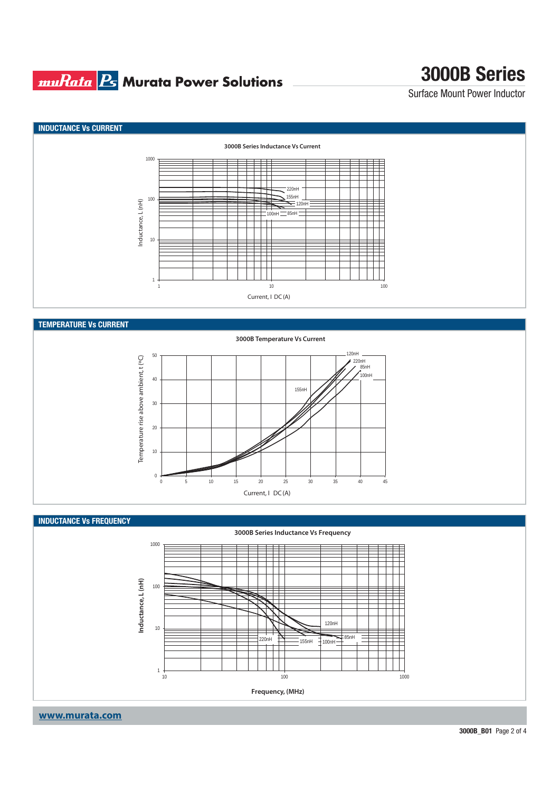## **muRata Bs** Murata Power Solutions

# **3000B Series**

Surface Mount Power Inductor



120nH 50 Temperature rise above ambient, t (°C) Temperature rise above ambient, t (ºC) 220nH<br>2 85nH  $100n$ 40 155nH 30 20 10  $\,$  0  $\,$ 0 5 10 15 20 25 30 35 40 45 Current, I DC (A)

### **INDUCTANCE Vs FREQUENCY**



**www.murata.com**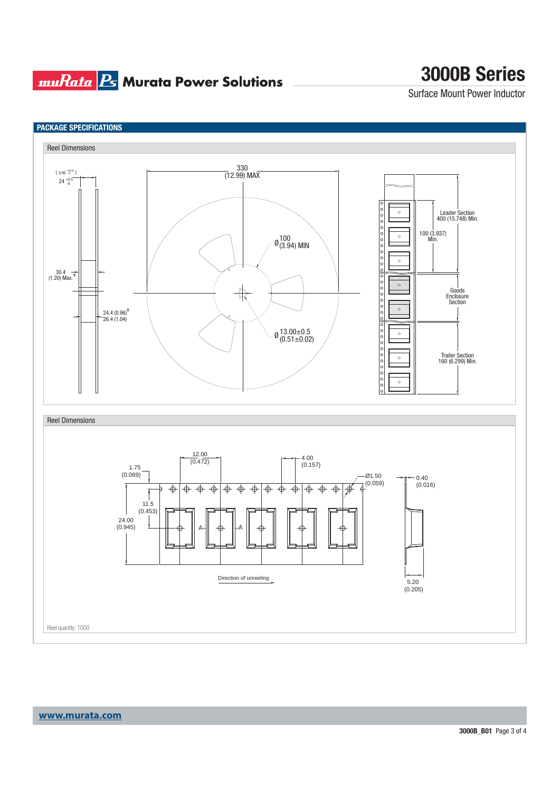## **muRata Ps** Murata Power Solutions

# **3000B Series**

Surface Mount Power Inductor